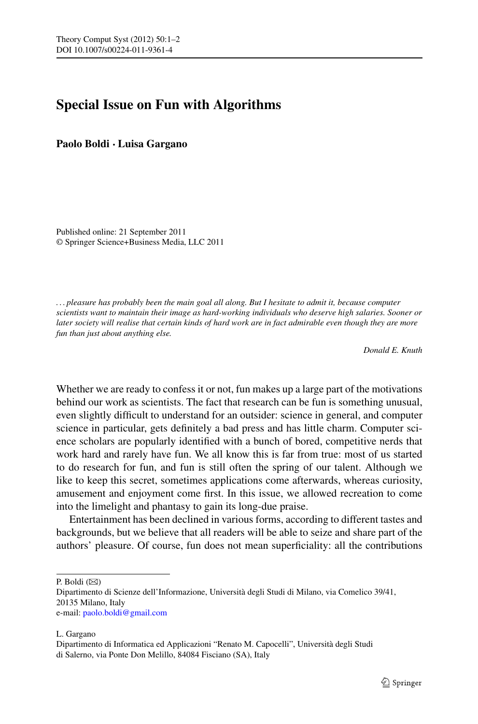## **Special Issue on Fun with Algorithms**

**Paolo Boldi · Luisa Gargano**

Published online: 21 September 2011 © Springer Science+Business Media, LLC 2011

*. . . pleasure has probably been the main goal all along. But I hesitate to admit it, because computer scientists want to maintain their image as hard-working individuals who deserve high salaries. Sooner or later society will realise that certain kinds of hard work are in fact admirable even though they are more fun than just about anything else.*

*Donald E. Knuth*

Whether we are ready to confess it or not, fun makes up a large part of the motivations behind our work as scientists. The fact that research can be fun is something unusual, even slightly difficult to understand for an outsider: science in general, and computer science in particular, gets definitely a bad press and has little charm. Computer science scholars are popularly identified with a bunch of bored, competitive nerds that work hard and rarely have fun. We all know this is far from true: most of us started to do research for fun, and fun is still often the spring of our talent. Although we like to keep this secret, sometimes applications come afterwards, whereas curiosity, amusement and enjoyment come first. In this issue, we allowed recreation to come into the limelight and phantasy to gain its long-due praise.

Entertainment has been declined in various forms, according to different tastes and backgrounds, but we believe that all readers will be able to seize and share part of the authors' pleasure. Of course, fun does not mean superficiality: all the contributions

P. Boldi  $(\boxtimes)$ 

L. Gargano

Dipartimento di Scienze dell'Informazione, Università degli Studi di Milano, via Comelico 39/41, 20135 Milano, Italy e-mail: [paolo.boldi@gmail.com](mailto:paolo.boldi@gmail.com)

Dipartimento di Informatica ed Applicazioni "Renato M. Capocelli", Università degli Studi di Salerno, via Ponte Don Melillo, 84084 Fisciano (SA), Italy